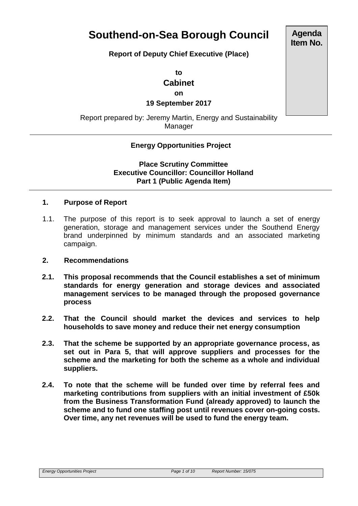# **Southend-on-Sea Borough Council**

## **Report of Deputy Chief Executive (Place)**

**to Cabinet on**

**19 September 2017**

Report prepared by: Jeremy Martin, Energy and Sustainability Manager

# **Energy Opportunities Project**

**Place Scrutiny Committee Executive Councillor: Councillor Holland Part 1 (Public Agenda Item)** 

## **1. Purpose of Report**

1.1. The purpose of this report is to seek approval to launch a set of energy generation, storage and management services under the Southend Energy brand underpinned by minimum standards and an associated marketing campaign.

## **2. Recommendations**

- **2.1. This proposal recommends that the Council establishes a set of minimum standards for energy generation and storage devices and associated management services to be managed through the proposed governance process**
- **2.2. That the Council should market the devices and services to help households to save money and reduce their net energy consumption**
- **2.3. That the scheme be supported by an appropriate governance process, as set out in Para 5, that will approve suppliers and processes for the scheme and the marketing for both the scheme as a whole and individual suppliers.**
- **2.4. To note that the scheme will be funded over time by referral fees and marketing contributions from suppliers with an initial investment of £50k from the Business Transformation Fund (already approved) to launch the scheme and to fund one staffing post until revenues cover on-going costs. Over time, any net revenues will be used to fund the energy team.**

**Agenda Item No.**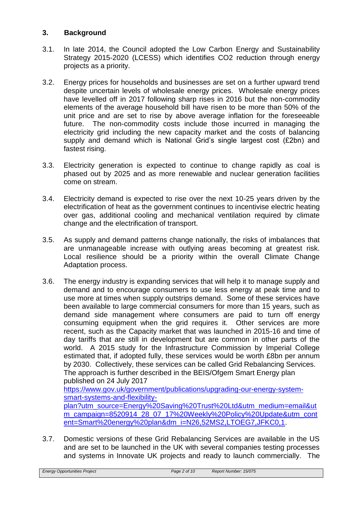# **3. Background**

- 3.1. In late 2014, the Council adopted the Low Carbon Energy and Sustainability Strategy 2015-2020 (LCESS) which identifies CO2 reduction through energy projects as a priority.
- 3.2. Energy prices for households and businesses are set on a further upward trend despite uncertain levels of wholesale energy prices. Wholesale energy prices have levelled off in 2017 following sharp rises in 2016 but the non-commodity elements of the average household bill have risen to be more than 50% of the unit price and are set to rise by above average inflation for the foreseeable future. The non-commodity costs include those incurred in managing the electricity grid including the new capacity market and the costs of balancing supply and demand which is National Grid's single largest cost (£2bn) and fastest rising.
- 3.3. Electricity generation is expected to continue to change rapidly as coal is phased out by 2025 and as more renewable and nuclear generation facilities come on stream.
- 3.4. Electricity demand is expected to rise over the next 10-25 years driven by the electrification of heat as the government continues to incentivise electric heating over gas, additional cooling and mechanical ventilation required by climate change and the electrification of transport.
- 3.5. As supply and demand patterns change nationally, the risks of imbalances that are unmanageable increase with outlying areas becoming at greatest risk. Local resilience should be a priority within the overall Climate Change Adaptation process.
- 3.6. The energy industry is expanding services that will help it to manage supply and demand and to encourage consumers to use less energy at peak time and to use more at times when supply outstrips demand. Some of these services have been available to large commercial consumers for more than 15 years, such as demand side management where consumers are paid to turn off energy consuming equipment when the grid requires it. Other services are more recent, such as the Capacity market that was launched in 2015-16 and time of day tariffs that are still in development but are common in other parts of the world. A 2015 study for the Infrastructure Commission by Imperial College estimated that, if adopted fully, these services would be worth £8bn per annum by 2030. Collectively, these services can be called Grid Rebalancing Services. The approach is further described in the BEIS/Ofgem Smart Energy plan published on 24 July 2017 [https://www.gov.uk/government/publications/upgrading-our-energy-system](https://www.gov.uk/government/publications/upgrading-our-energy-system-smart-systems-and-flexibility-plan?utm_source=Energy%20Saving%20Trust%20Ltd&utm_medium=email&utm_campaign=8520914_28_07_17%20Weekly%20Policy%20Update&utm_content=Smart%20energy%20plan&dm_i=N26,52MS2,LTOEG7,JFKC0,1)[smart-systems-and-flexibility](https://www.gov.uk/government/publications/upgrading-our-energy-system-smart-systems-and-flexibility-plan?utm_source=Energy%20Saving%20Trust%20Ltd&utm_medium=email&utm_campaign=8520914_28_07_17%20Weekly%20Policy%20Update&utm_content=Smart%20energy%20plan&dm_i=N26,52MS2,LTOEG7,JFKC0,1)[plan?utm\\_source=Energy%20Saving%20Trust%20Ltd&utm\\_medium=email&ut](https://www.gov.uk/government/publications/upgrading-our-energy-system-smart-systems-and-flexibility-plan?utm_source=Energy%20Saving%20Trust%20Ltd&utm_medium=email&utm_campaign=8520914_28_07_17%20Weekly%20Policy%20Update&utm_content=Smart%20energy%20plan&dm_i=N26,52MS2,LTOEG7,JFKC0,1) [m\\_campaign=8520914\\_28\\_07\\_17%20Weekly%20Policy%20Update&utm\\_cont](https://www.gov.uk/government/publications/upgrading-our-energy-system-smart-systems-and-flexibility-plan?utm_source=Energy%20Saving%20Trust%20Ltd&utm_medium=email&utm_campaign=8520914_28_07_17%20Weekly%20Policy%20Update&utm_content=Smart%20energy%20plan&dm_i=N26,52MS2,LTOEG7,JFKC0,1) [ent=Smart%20energy%20plan&dm\\_i=N26,52MS2,LTOEG7,JFKC0,1.](https://www.gov.uk/government/publications/upgrading-our-energy-system-smart-systems-and-flexibility-plan?utm_source=Energy%20Saving%20Trust%20Ltd&utm_medium=email&utm_campaign=8520914_28_07_17%20Weekly%20Policy%20Update&utm_content=Smart%20energy%20plan&dm_i=N26,52MS2,LTOEG7,JFKC0,1)
- 3.7. Domestic versions of these Grid Rebalancing Services are available in the US and are set to be launched in the UK with several companies testing processes and systems in Innovate UK projects and ready to launch commercially. The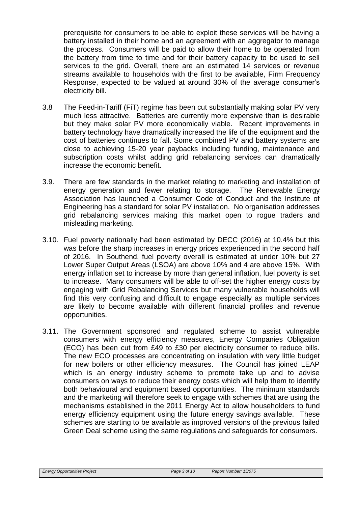prerequisite for consumers to be able to exploit these services will be having a battery installed in their home and an agreement with an aggregator to manage the process. Consumers will be paid to allow their home to be operated from the battery from time to time and for their battery capacity to be used to sell services to the grid. Overall, there are an estimated 14 services or revenue streams available to households with the first to be available, Firm Frequency Response, expected to be valued at around 30% of the average consumer's electricity bill.

- 3.8 The Feed-in-Tariff (FiT) regime has been cut substantially making solar PV very much less attractive. Batteries are currently more expensive than is desirable but they make solar PV more economically viable. Recent improvements in battery technology have dramatically increased the life of the equipment and the cost of batteries continues to fall. Some combined PV and battery systems are close to achieving 15-20 year paybacks including funding, maintenance and subscription costs whilst adding grid rebalancing services can dramatically increase the economic benefit.
- 3.9. There are few standards in the market relating to marketing and installation of energy generation and fewer relating to storage. The Renewable Energy Association has launched a Consumer Code of Conduct and the Institute of Engineering has a standard for solar PV installation. No organisation addresses grid rebalancing services making this market open to rogue traders and misleading marketing.
- 3.10. Fuel poverty nationally had been estimated by DECC (2016) at 10.4% but this was before the sharp increases in energy prices experienced in the second half of 2016. In Southend, fuel poverty overall is estimated at under 10% but 27 Lower Super Output Areas (LSOA) are above 10% and 4 are above 15%. With energy inflation set to increase by more than general inflation, fuel poverty is set to increase. Many consumers will be able to off-set the higher energy costs by engaging with Grid Rebalancing Services but many vulnerable households will find this very confusing and difficult to engage especially as multiple services are likely to become available with different financial profiles and revenue opportunities.
- 3.11. The Government sponsored and regulated scheme to assist vulnerable consumers with energy efficiency measures, Energy Companies Obligation (ECO) has been cut from £49 to £30 per electricity consumer to reduce bills. The new ECO processes are concentrating on insulation with very little budget for new boilers or other efficiency measures. The Council has joined LEAP which is an energy industry scheme to promote take up and to advise consumers on ways to reduce their energy costs which will help them to identify both behavioural and equipment based opportunities. The minimum standards and the marketing will therefore seek to engage with schemes that are using the mechanisms established in the 2011 Energy Act to allow householders to fund energy efficiency equipment using the future energy savings available. These schemes are starting to be available as improved versions of the previous failed Green Deal scheme using the same regulations and safeguards for consumers.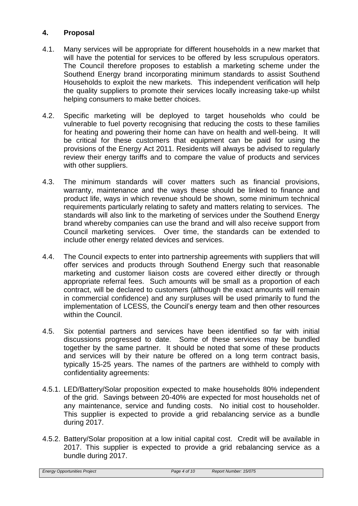# **4. Proposal**

- 4.1. Many services will be appropriate for different households in a new market that will have the potential for services to be offered by less scrupulous operators. The Council therefore proposes to establish a marketing scheme under the Southend Energy brand incorporating minimum standards to assist Southend Households to exploit the new markets. This independent verification will help the quality suppliers to promote their services locally increasing take-up whilst helping consumers to make better choices.
- 4.2. Specific marketing will be deployed to target households who could be vulnerable to fuel poverty recognising that reducing the costs to these families for heating and powering their home can have on health and well-being. It will be critical for these customers that equipment can be paid for using the provisions of the Energy Act 2011. Residents will always be advised to regularly review their energy tariffs and to compare the value of products and services with other suppliers.
- 4.3. The minimum standards will cover matters such as financial provisions, warranty, maintenance and the ways these should be linked to finance and product life, ways in which revenue should be shown, some minimum technical requirements particularly relating to safety and matters relating to services. The standards will also link to the marketing of services under the Southend Energy brand whereby companies can use the brand and will also receive support from Council marketing services. Over time, the standards can be extended to include other energy related devices and services.
- 4.4. The Council expects to enter into partnership agreements with suppliers that will offer services and products through Southend Energy such that reasonable marketing and customer liaison costs are covered either directly or through appropriate referral fees. Such amounts will be small as a proportion of each contract, will be declared to customers (although the exact amounts will remain in commercial confidence) and any surpluses will be used primarily to fund the implementation of LCESS, the Council's energy team and then other resources within the Council.
- 4.5. Six potential partners and services have been identified so far with initial discussions progressed to date. Some of these services may be bundled together by the same partner. It should be noted that some of these products and services will by their nature be offered on a long term contract basis, typically 15-25 years. The names of the partners are withheld to comply with confidentiality agreements:
- 4.5.1. LED/Battery/Solar proposition expected to make households 80% independent of the grid. Savings between 20-40% are expected for most households net of any maintenance, service and funding costs. No initial cost to householder. This supplier is expected to provide a grid rebalancing service as a bundle during 2017.
- 4.5.2. Battery/Solar proposition at a low initial capital cost. Credit will be available in 2017. This supplier is expected to provide a grid rebalancing service as a bundle during 2017.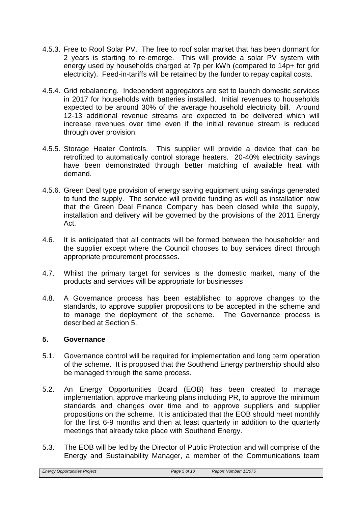- 4.5.3. Free to Roof Solar PV. The free to roof solar market that has been dormant for 2 years is starting to re-emerge. This will provide a solar PV system with energy used by households charged at 7p per kWh (compared to 14p+ for grid electricity). Feed-in-tariffs will be retained by the funder to repay capital costs.
- 4.5.4. Grid rebalancing. Independent aggregators are set to launch domestic services in 2017 for households with batteries installed. Initial revenues to households expected to be around 30% of the average household electricity bill. Around 12-13 additional revenue streams are expected to be delivered which will increase revenues over time even if the initial revenue stream is reduced through over provision.
- 4.5.5. Storage Heater Controls. This supplier will provide a device that can be retrofitted to automatically control storage heaters. 20-40% electricity savings have been demonstrated through better matching of available heat with demand.
- 4.5.6. Green Deal type provision of energy saving equipment using savings generated to fund the supply. The service will provide funding as well as installation now that the Green Deal Finance Company has been closed while the supply, installation and delivery will be governed by the provisions of the 2011 Energy Act.
- 4.6. It is anticipated that all contracts will be formed between the householder and the supplier except where the Council chooses to buy services direct through appropriate procurement processes.
- 4.7. Whilst the primary target for services is the domestic market, many of the products and services will be appropriate for businesses
- 4.8. A Governance process has been established to approve changes to the standards, to approve supplier propositions to be accepted in the scheme and to manage the deployment of the scheme. The Governance process is described at Section 5.

#### **5. Governance**

- 5.1. Governance control will be required for implementation and long term operation of the scheme. It is proposed that the Southend Energy partnership should also be managed through the same process.
- 5.2. An Energy Opportunities Board (EOB) has been created to manage implementation, approve marketing plans including PR, to approve the minimum standards and changes over time and to approve suppliers and supplier propositions on the scheme. It is anticipated that the EOB should meet monthly for the first 6-9 months and then at least quarterly in addition to the quarterly meetings that already take place with Southend Energy.
- 5.3. The EOB will be led by the Director of Public Protection and will comprise of the Energy and Sustainability Manager, a member of the Communications team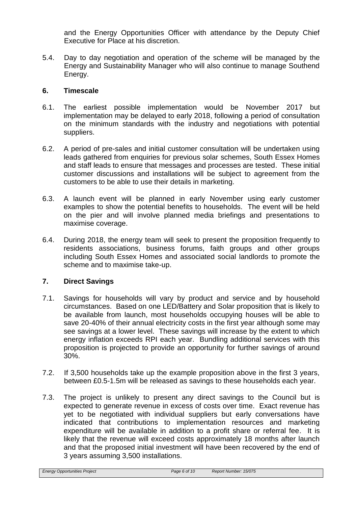and the Energy Opportunities Officer with attendance by the Deputy Chief Executive for Place at his discretion.

5.4. Day to day negotiation and operation of the scheme will be managed by the Energy and Sustainability Manager who will also continue to manage Southend Energy.

# **6. Timescale**

- 6.1. The earliest possible implementation would be November 2017 but implementation may be delayed to early 2018, following a period of consultation on the minimum standards with the industry and negotiations with potential suppliers.
- 6.2. A period of pre-sales and initial customer consultation will be undertaken using leads gathered from enquiries for previous solar schemes, South Essex Homes and staff leads to ensure that messages and processes are tested. These initial customer discussions and installations will be subject to agreement from the customers to be able to use their details in marketing.
- 6.3. A launch event will be planned in early November using early customer examples to show the potential benefits to households. The event will be held on the pier and will involve planned media briefings and presentations to maximise coverage.
- 6.4. During 2018, the energy team will seek to present the proposition frequently to residents associations, business forums, faith groups and other groups including South Essex Homes and associated social landlords to promote the scheme and to maximise take-up.

# **7. Direct Savings**

- 7.1. Savings for households will vary by product and service and by household circumstances. Based on one LED/Battery and Solar proposition that is likely to be available from launch, most households occupying houses will be able to save 20-40% of their annual electricity costs in the first year although some may see savings at a lower level. These savings will increase by the extent to which energy inflation exceeds RPI each year. Bundling additional services with this proposition is projected to provide an opportunity for further savings of around 30%.
- 7.2. If 3,500 households take up the example proposition above in the first 3 years, between £0.5-1.5m will be released as savings to these households each year.
- 7.3. The project is unlikely to present any direct savings to the Council but is expected to generate revenue in excess of costs over time. Exact revenue has yet to be negotiated with individual suppliers but early conversations have indicated that contributions to implementation resources and marketing expenditure will be available in addition to a profit share or referral fee. It is likely that the revenue will exceed costs approximately 18 months after launch and that the proposed initial investment will have been recovered by the end of 3 years assuming 3,500 installations.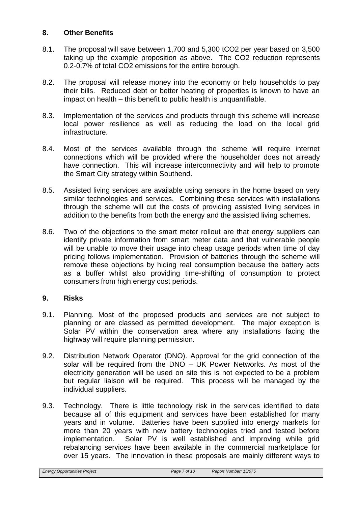# **8. Other Benefits**

- 8.1. The proposal will save between 1,700 and 5,300 tCO2 per year based on 3,500 taking up the example proposition as above. The CO2 reduction represents 0.2-0.7% of total CO2 emissions for the entire borough.
- 8.2. The proposal will release money into the economy or help households to pay their bills. Reduced debt or better heating of properties is known to have an impact on health – this benefit to public health is unquantifiable.
- 8.3. Implementation of the services and products through this scheme will increase local power resilience as well as reducing the load on the local grid infrastructure.
- 8.4. Most of the services available through the scheme will require internet connections which will be provided where the householder does not already have connection. This will increase interconnectivity and will help to promote the Smart City strategy within Southend.
- 8.5. Assisted living services are available using sensors in the home based on very similar technologies and services. Combining these services with installations through the scheme will cut the costs of providing assisted living services in addition to the benefits from both the energy and the assisted living schemes.
- 8.6. Two of the objections to the smart meter rollout are that energy suppliers can identify private information from smart meter data and that vulnerable people will be unable to move their usage into cheap usage periods when time of day pricing follows implementation. Provision of batteries through the scheme will remove these objections by hiding real consumption because the battery acts as a buffer whilst also providing time-shifting of consumption to protect consumers from high energy cost periods.

## **9. Risks**

- 9.1. Planning. Most of the proposed products and services are not subject to planning or are classed as permitted development. The major exception is Solar PV within the conservation area where any installations facing the highway will require planning permission.
- 9.2. Distribution Network Operator (DNO). Approval for the grid connection of the solar will be required from the DNO – UK Power Networks. As most of the electricity generation will be used on site this is not expected to be a problem but regular liaison will be required. This process will be managed by the individual suppliers.
- 9.3. Technology. There is little technology risk in the services identified to date because all of this equipment and services have been established for many years and in volume. Batteries have been supplied into energy markets for more than 20 years with new battery technologies tried and tested before implementation. Solar PV is well established and improving while grid rebalancing services have been available in the commercial marketplace for over 15 years. The innovation in these proposals are mainly different ways to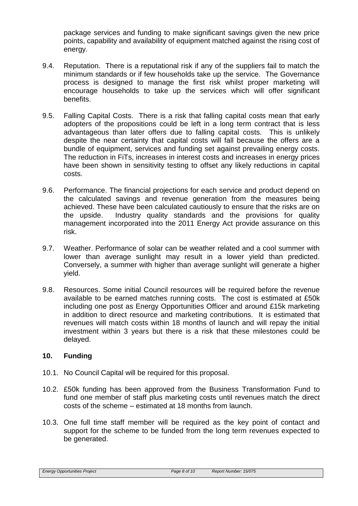package services and funding to make significant savings given the new price points, capability and availability of equipment matched against the rising cost of energy.

- 9.4. Reputation. There is a reputational risk if any of the suppliers fail to match the minimum standards or if few households take up the service. The Governance process is designed to manage the first risk whilst proper marketing will encourage households to take up the services which will offer significant benefits.
- 9.5. Falling Capital Costs. There is a risk that falling capital costs mean that early adopters of the propositions could be left in a long term contract that is less advantageous than later offers due to falling capital costs. This is unlikely despite the near certainty that capital costs will fall because the offers are a bundle of equipment, services and funding set against prevailing energy costs. The reduction in FiTs, increases in interest costs and increases in energy prices have been shown in sensitivity testing to offset any likely reductions in capital costs.
- 9.6. Performance. The financial projections for each service and product depend on the calculated savings and revenue generation from the measures being achieved. These have been calculated cautiously to ensure that the risks are on the upside. Industry quality standards and the provisions for quality management incorporated into the 2011 Energy Act provide assurance on this risk.
- 9.7. Weather. Performance of solar can be weather related and a cool summer with lower than average sunlight may result in a lower yield than predicted. Conversely, a summer with higher than average sunlight will generate a higher yield.
- 9.8. Resources. Some initial Council resources will be required before the revenue available to be earned matches running costs. The cost is estimated at £50k including one post as Energy Opportunities Officer and around £15k marketing in addition to direct resource and marketing contributions. It is estimated that revenues will match costs within 18 months of launch and will repay the initial investment within 3 years but there is a risk that these milestones could be delayed.

# **10. Funding**

- 10.1. No Council Capital will be required for this proposal.
- 10.2. £50k funding has been approved from the Business Transformation Fund to fund one member of staff plus marketing costs until revenues match the direct costs of the scheme – estimated at 18 months from launch.
- 10.3. One full time staff member will be required as the key point of contact and support for the scheme to be funded from the long term revenues expected to be generated.

*Energy Opportunities Project Page 8 of 10 Report Number: 15/075*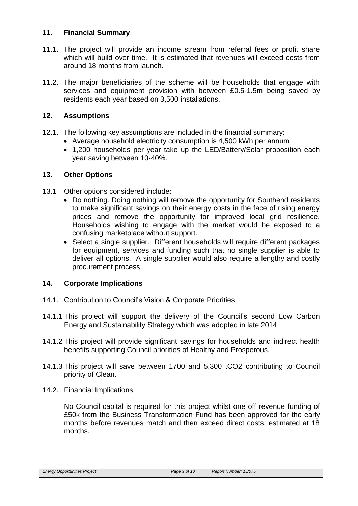# **11. Financial Summary**

- 11.1. The project will provide an income stream from referral fees or profit share which will build over time. It is estimated that revenues will exceed costs from around 18 months from launch.
- 11.2. The major beneficiaries of the scheme will be households that engage with services and equipment provision with between £0.5-1.5m being saved by residents each year based on 3,500 installations.

# **12. Assumptions**

- 12.1. The following key assumptions are included in the financial summary:
	- Average household electricity consumption is 4,500 kWh per annum
		- 1,200 households per year take up the LED/Battery/Solar proposition each year saving between 10-40%.

## **13. Other Options**

- 13.1 Other options considered include:
	- Do nothing. Doing nothing will remove the opportunity for Southend residents to make significant savings on their energy costs in the face of rising energy prices and remove the opportunity for improved local grid resilience. Households wishing to engage with the market would be exposed to a confusing marketplace without support.
	- Select a single supplier. Different households will require different packages for equipment, services and funding such that no single supplier is able to deliver all options. A single supplier would also require a lengthy and costly procurement process.

# **14. Corporate Implications**

- 14.1. Contribution to Council's Vision & Corporate Priorities
- 14.1.1 This project will support the delivery of the Council's second Low Carbon Energy and Sustainability Strategy which was adopted in late 2014.
- 14.1.2 This project will provide significant savings for households and indirect health benefits supporting Council priorities of Healthy and Prosperous.
- 14.1.3 This project will save between 1700 and 5,300 tCO2 contributing to Council priority of Clean.
- 14.2. Financial Implications

No Council capital is required for this project whilst one off revenue funding of £50k from the Business Transformation Fund has been approved for the early months before revenues match and then exceed direct costs, estimated at 18 months.